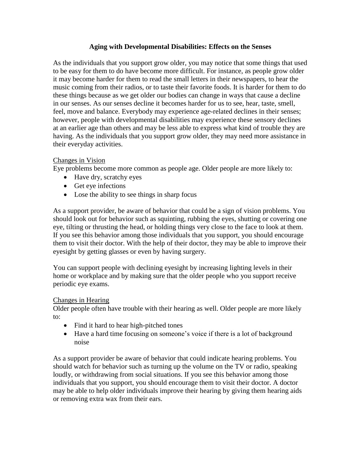## **Aging with Developmental Disabilities: Effects on the Senses**

As the individuals that you support grow older, you may notice that some things that used to be easy for them to do have become more difficult. For instance, as people grow older it may become harder for them to read the small letters in their newspapers, to hear the music coming from their radios, or to taste their favorite foods. It is harder for them to do these things because as we get older our bodies can change in ways that cause a decline in our senses. As our senses decline it becomes harder for us to see, hear, taste, smell, feel, move and balance. Everybody may experience age-related declines in their senses; however, people with developmental disabilities may experience these sensory declines at an earlier age than others and may be less able to express what kind of trouble they are having. As the individuals that you support grow older, they may need more assistance in their everyday activities.

## Changes in Vision

Eye problems become more common as people age. Older people are more likely to:

- Have dry, scratchy eyes
- Get eye infections
- Lose the ability to see things in sharp focus

As a support provider, be aware of behavior that could be a sign of vision problems. You should look out for behavior such as squinting, rubbing the eyes, shutting or covering one eye, tilting or thrusting the head, or holding things very close to the face to look at them. If you see this behavior among those individuals that you support, you should encourage them to visit their doctor. With the help of their doctor, they may be able to improve their eyesight by getting glasses or even by having surgery.

You can support people with declining eyesight by increasing lighting levels in their home or workplace and by making sure that the older people who you support receive periodic eye exams.

# Changes in Hearing

Older people often have trouble with their hearing as well. Older people are more likely to:

- Find it hard to hear high-pitched tones
- Have a hard time focusing on someone's voice if there is a lot of background noise

As a support provider be aware of behavior that could indicate hearing problems. You should watch for behavior such as turning up the volume on the TV or radio, speaking loudly, or withdrawing from social situations. If you see this behavior among those individuals that you support, you should encourage them to visit their doctor. A doctor may be able to help older individuals improve their hearing by giving them hearing aids or removing extra wax from their ears.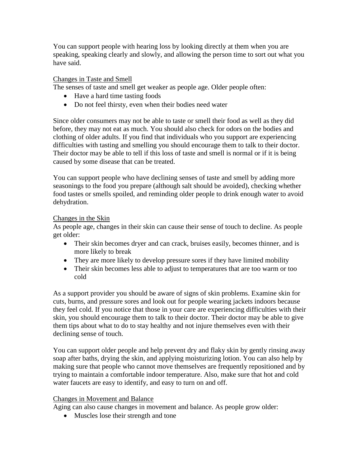You can support people with hearing loss by looking directly at them when you are speaking, speaking clearly and slowly, and allowing the person time to sort out what you have said.

# Changes in Taste and Smell

The senses of taste and smell get weaker as people age. Older people often:

- Have a hard time tasting foods
- Do not feel thirsty, even when their bodies need water

Since older consumers may not be able to taste or smell their food as well as they did before, they may not eat as much. You should also check for odors on the bodies and clothing of older adults. If you find that individuals who you support are experiencing difficulties with tasting and smelling you should encourage them to talk to their doctor. Their doctor may be able to tell if this loss of taste and smell is normal or if it is being caused by some disease that can be treated.

You can support people who have declining senses of taste and smell by adding more seasonings to the food you prepare (although salt should be avoided), checking whether food tastes or smells spoiled, and reminding older people to drink enough water to avoid dehydration.

# Changes in the Skin

As people age, changes in their skin can cause their sense of touch to decline. As people get older:

- Their skin becomes dryer and can crack, bruises easily, becomes thinner, and is more likely to break
- They are more likely to develop pressure sores if they have limited mobility
- Their skin becomes less able to adjust to temperatures that are too warm or too cold

As a support provider you should be aware of signs of skin problems. Examine skin for cuts, burns, and pressure sores and look out for people wearing jackets indoors because they feel cold. If you notice that those in your care are experiencing difficulties with their skin, you should encourage them to talk to their doctor. Their doctor may be able to give them tips about what to do to stay healthy and not injure themselves even with their declining sense of touch.

You can support older people and help prevent dry and flaky skin by gently rinsing away soap after baths, drying the skin, and applying moisturizing lotion. You can also help by making sure that people who cannot move themselves are frequently repositioned and by trying to maintain a comfortable indoor temperature. Also, make sure that hot and cold water faucets are easy to identify, and easy to turn on and off.

# Changes in Movement and Balance

Aging can also cause changes in movement and balance. As people grow older:

• Muscles lose their strength and tone